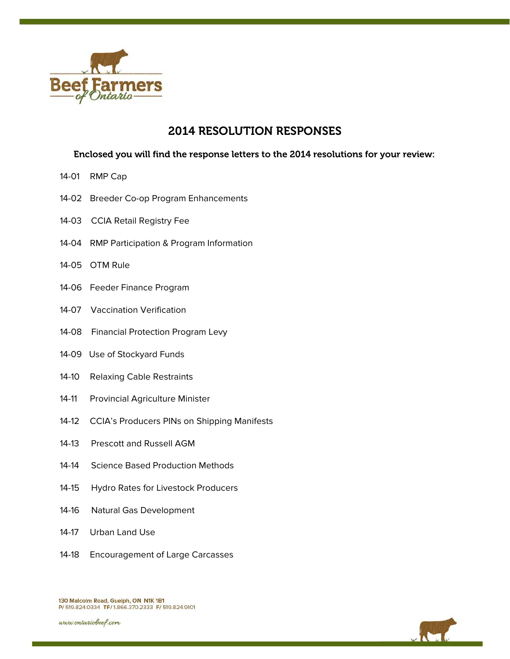

# 2014 RESOLUTION RESPONSES

## Enclosed you will find the response letters to the 2014 resolutions for your review:

- 14-01 RMP Cap
- 14-02 Breeder Co-op Program Enhancements
- 14-03 CCIA Retail Registry Fee
- 14-04 RMP Participation & Program Information
- 14-05 OTM Rule
- 14-06 Feeder Finance Program
- 14-07 Vaccination Verification
- 14-08 Financial Protection Program Levy
- 14-09 Use of Stockyard Funds
- 14-10 Relaxing Cable Restraints
- 14-11 Provincial Agriculture Minister
- 14-12 CCIA's Producers PINs on Shipping Manifests
- 14-13 Prescott and Russell AGM
- 14-14 Science Based Production Methods
- 14-15 Hydro Rates for Livestock Producers
- 14-16 Natural Gas Development
- 14-17 Urban Land Use
- 14-18 Encouragement of Large Carcasses





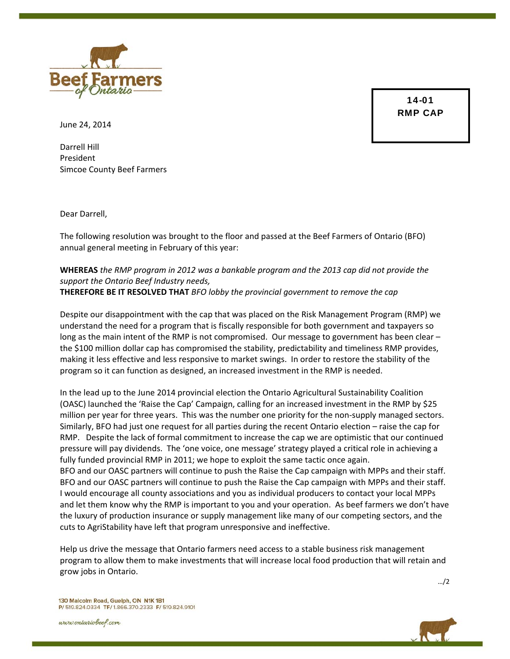

14-01 RMP CAP

June 24, 2014

Darrell Hill President Simcoe County Beef Farmers

Dear Darrell,

The following resolution was brought to the floor and passed at the Beef Farmers of Ontario (BFO) annual general meeting in February of this year:

## **WHEREAS** *the RMP program in 2012 was a bankable program and the 2013 cap did not provide the support the Ontario Beef Industry needs,* **THEREFORE BE IT RESOLVED THAT** *BFO lobby the provincial government to remove the cap*

Despite our disappointment with the cap that was placed on the Risk Management Program (RMP) we understand the need for a program that is fiscally responsible for both government and taxpayers so long as the main intent of the RMP is not compromised. Our message to government has been clear the \$100 million dollar cap has compromised the stability, predictability and timeliness RMP provides, making it less effective and less responsive to market swings. In order to restore the stability of the program so it can function as designed, an increased investment in the RMP is needed.

In the lead up to the June 2014 provincial election the Ontario Agricultural Sustainability Coalition (OASC) launched the 'Raise the Cap' Campaign, calling for an increased investment in the RMP by \$25 million per year for three years. This was the number one priority for the non‐supply managed sectors. Similarly, BFO had just one request for all parties during the recent Ontario election – raise the cap for RMP. Despite the lack of formal commitment to increase the cap we are optimistic that our continued pressure will pay dividends. The 'one voice, one message' strategy played a critical role in achieving a fully funded provincial RMP in 2011; we hope to exploit the same tactic once again. BFO and our OASC partners will continue to push the Raise the Cap campaign with MPPs and their staff. BFO and our OASC partners will continue to push the Raise the Cap campaign with MPPs and their staff. I would encourage all county associations and you as individual producers to contact your local MPPs and let them know why the RMP is important to you and your operation. As beef farmers we don't have the luxury of production insurance or supply management like many of our competing sectors, and the

Help us drive the message that Ontario farmers need access to a stable business risk management program to allow them to make investments that will increase local food production that will retain and grow jobs in Ontario.

cuts to AgriStability have left that program unresponsive and ineffective.

…/2

130 Malcolm Road, Guelph, ON N1K 1B1 P/ 519.824.0334 TF/ 1.866.370.2333 F/ 519.824.9101

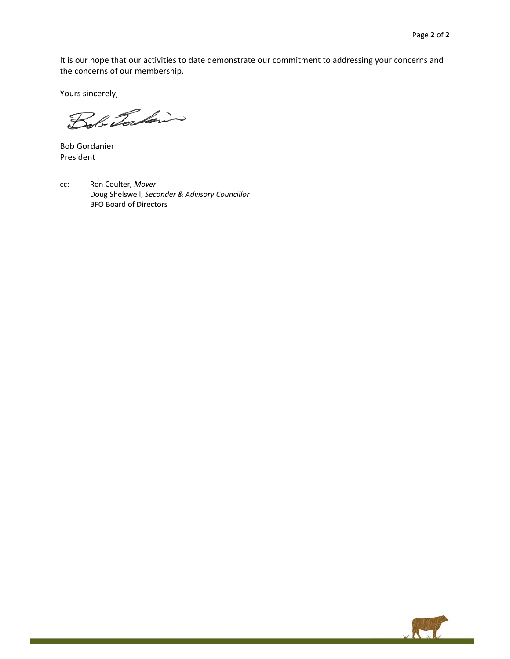It is our hope that our activities to date demonstrate our commitment to addressing your concerns and the concerns of our membership.

Yours sincerely,

Bob Torkin

Bob Gordanier President

cc: Ron Coulter*, Mover* Doug Shelswell, *Seconder & Advisory Councillor*  BFO Board of Directors

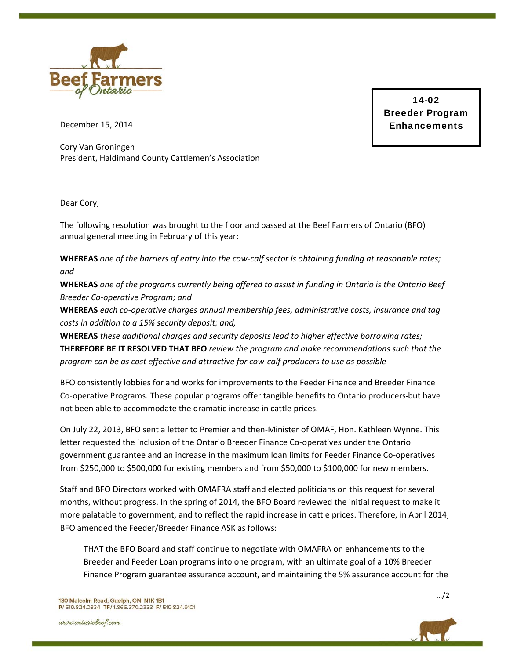

14-02 Breeder Program Enhancements

December 15, 2014

Cory Van Groningen President, Haldimand County Cattlemen's Association

Dear Cory,

The following resolution was brought to the floor and passed at the Beef Farmers of Ontario (BFO) annual general meeting in February of this year:

WHEREAS one of the barriers of entry into the cow-calf sector is obtaining funding at reasonable rates; *and*

WHEREAS one of the programs currently being offered to assist in funding in Ontario is the Ontario Beef *Breeder Co‐operative Program; and*

**WHEREAS** *each co‐operative charges annual membership fees, administrative costs, insurance and tag costs in addition to a 15% security deposit; and,*

**WHEREAS** *these additional charges and security deposits lead to higher effective borrowing rates;* **THEREFORE BE IT RESOLVED THAT BFO** *review the program and make recommendations such that the program can be as cost effective and attractive for cow‐calf producers to use as possible*

BFO consistently lobbies for and works for improvements to the Feeder Finance and Breeder Finance Co‐operative Programs. These popular programs offer tangible benefits to Ontario producers but have not been able to accommodate the dramatic increase in cattle prices.

On July 22, 2013, BFO sent a letter to Premier and then‐Minister of OMAF, Hon. Kathleen Wynne. This letter requested the inclusion of the Ontario Breeder Finance Co-operatives under the Ontario government guarantee and an increase in the maximum loan limits for Feeder Finance Co-operatives from \$250,000 to \$500,000 for existing members and from \$50,000 to \$100,000 for new members.

Staff and BFO Directors worked with OMAFRA staff and elected politicians on this request for several months, without progress. In the spring of 2014, the BFO Board reviewed the initial request to make it more palatable to government, and to reflect the rapid increase in cattle prices. Therefore, in April 2014, BFO amended the Feeder/Breeder Finance ASK as follows:

THAT the BFO Board and staff continue to negotiate with OMAFRA on enhancements to the Breeder and Feeder Loan programs into one program, with an ultimate goal of a 10% Breeder Finance Program guarantee assurance account, and maintaining the 5% assurance account for the



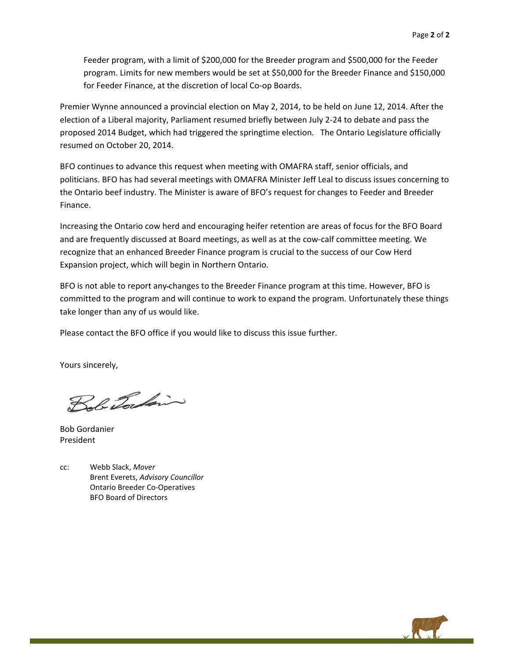Feeder program, with a limit of \$200,000 for the Breeder program and \$500,000 for the Feeder program. Limits for new members would be set at \$50,000 for the Breeder Finance and \$150,000 for Feeder Finance, at the discretion of local Co‐op Boards.

Premier Wynne announced a provincial election on May 2, 2014, to be held on June 12, 2014. After the election of a Liberal majority, Parliament resumed briefly between July 2‐24 to debate and pass the proposed 2014 Budget, which had triggered the springtime election. The Ontario Legislature officially resumed on October 20, 2014.

BFO continues to advance this request when meeting with OMAFRA staff, senior officials, and politicians. BFO has had several meetings with OMAFRA Minister Jeff Leal to discuss issues concerning to the Ontario beef industry. The Minister is aware of BFO's request for changes to Feeder and Breeder Finance.

Increasing the Ontario cow herd and encouraging heifer retention are areas of focus for the BFO Board and are frequently discussed at Board meetings, as well as at the cow-calf committee meeting. We recognize that an enhanced Breeder Finance program is crucial to the success of our Cow Herd Expansion project, which will begin in Northern Ontario.

BFO is not able to report any changes to the Breeder Finance program at this time. However, BFO is committed to the program and will continue to work to expand the program. Unfortunately these things take longer than any of us would like.

Please contact the BFO office if you would like to discuss this issue further.

Yours sincerely,

Bob Tockin

Bob Gordanier President

cc: Webb Slack, *Mover* Brent Everets, *Advisory Councillor*  Ontario Breeder Co‐Operatives BFO Board of Directors

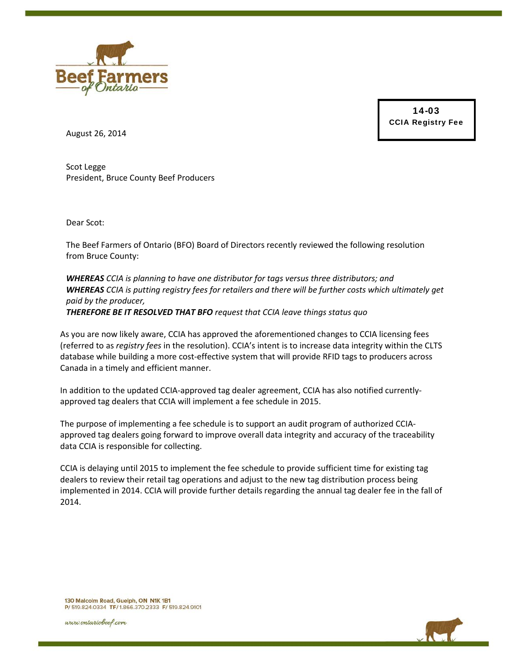

14-03 CCIA Registry Fee

August 26, 2014

Scot Legge President, Bruce County Beef Producers

Dear Scot:

The Beef Farmers of Ontario (BFO) Board of Directors recently reviewed the following resolution from Bruce County:

*WHEREAS CCIA is planning to have one distributor for tags versus three distributors; and WHEREAS CCIA is putting registry fees for retailers and there will be further costs which ultimately get paid by the producer, THEREFORE BE IT RESOLVED THAT BFO request that CCIA leave things status quo*

As you are now likely aware, CCIA has approved the aforementioned changes to CCIA licensing fees (referred to as *registry fees* in the resolution). CCIA's intent is to increase data integrity within the CLTS database while building a more cost-effective system that will provide RFID tags to producers across Canada in a timely and efficient manner.

In addition to the updated CCIA-approved tag dealer agreement, CCIA has also notified currentlyapproved tag dealers that CCIA will implement a fee schedule in 2015.

The purpose of implementing a fee schedule is to support an audit program of authorized CCIAapproved tag dealers going forward to improve overall data integrity and accuracy of the traceability data CCIA is responsible for collecting.

CCIA is delaying until 2015 to implement the fee schedule to provide sufficient time for existing tag dealers to review their retail tag operations and adjust to the new tag distribution process being implemented in 2014. CCIA will provide further details regarding the annual tag dealer fee in the fall of 2014.



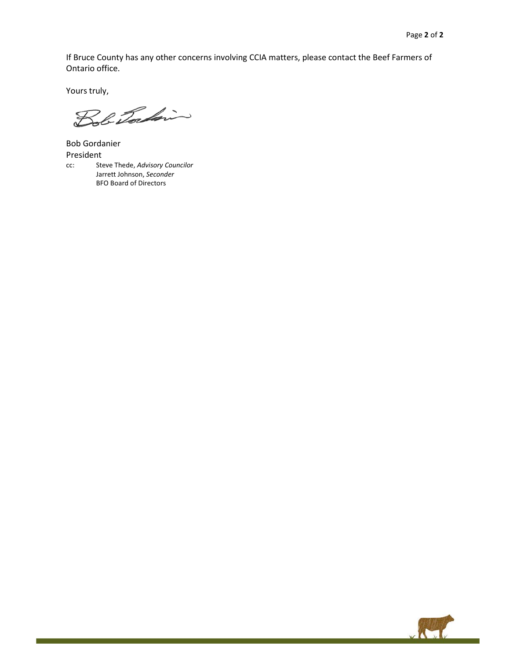If Bruce County has any other concerns involving CCIA matters, please contact the Beef Farmers of Ontario office.

Yours truly,

Bob Jordin

Bob Gordanier President cc: Steve Thede, *Advisory Councilor* Jarrett Johnson, *Seconder* BFO Board of Directors

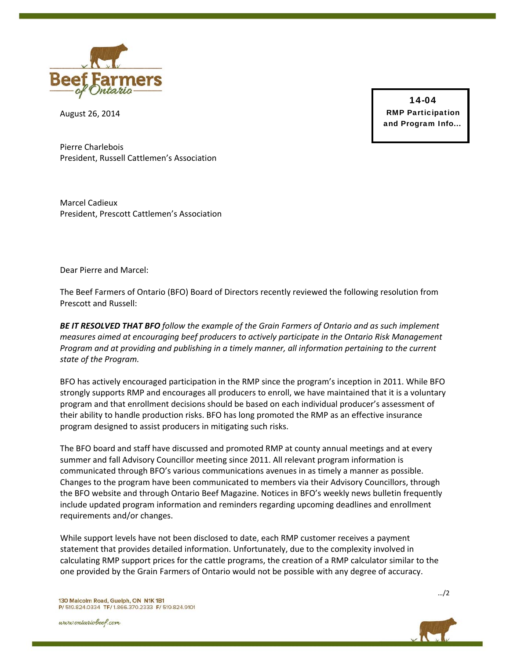

August 26, 2014

14-04 RMP Participation and Program Info...

Pierre Charlebois President, Russell Cattlemen's Association

Marcel Cadieux President, Prescott Cattlemen's Association

Dear Pierre and Marcel:

The Beef Farmers of Ontario (BFO) Board of Directors recently reviewed the following resolution from Prescott and Russell:

*BE IT RESOLVED THAT BFO follow the example of the Grain Farmers of Ontario and as such implement measures aimed at encouraging beef producers to actively participate in the Ontario Risk Management Program and at providing and publishing in a timely manner, all information pertaining to the current state of the Program.*

BFO has actively encouraged participation in the RMP since the program's inception in 2011. While BFO strongly supports RMP and encourages all producers to enroll, we have maintained that it is a voluntary program and that enrollment decisions should be based on each individual producer's assessment of their ability to handle production risks. BFO has long promoted the RMP as an effective insurance program designed to assist producers in mitigating such risks.

The BFO board and staff have discussed and promoted RMP at county annual meetings and at every summer and fall Advisory Councillor meeting since 2011. All relevant program information is communicated through BFO's various communications avenues in as timely a manner as possible. Changes to the program have been communicated to members via their Advisory Councillors, through the BFO website and through Ontario Beef Magazine. Notices in BFO's weekly news bulletin frequently include updated program information and reminders regarding upcoming deadlines and enrollment requirements and/or changes.

While support levels have not been disclosed to date, each RMP customer receives a payment statement that provides detailed information. Unfortunately, due to the complexity involved in calculating RMP support prices for the cattle programs, the creation of a RMP calculator similar to the one provided by the Grain Farmers of Ontario would not be possible with any degree of accuracy.

www.ontariobeef.com



…/2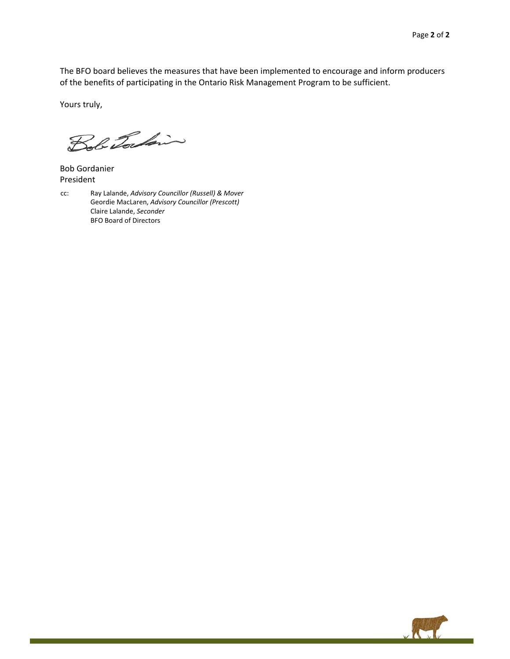The BFO board believes the measures that have been implemented to encourage and inform producers of the benefits of participating in the Ontario Risk Management Program to be sufficient.

Yours truly,

Bob Torkin

Bob Gordanier President

cc: Ray Lalande, *Advisory Councillor (Russell) & Mover* Geordie MacLaren, *Advisory Councillor (Prescott)* Claire Lalande, *Seconder* BFO Board of Directors

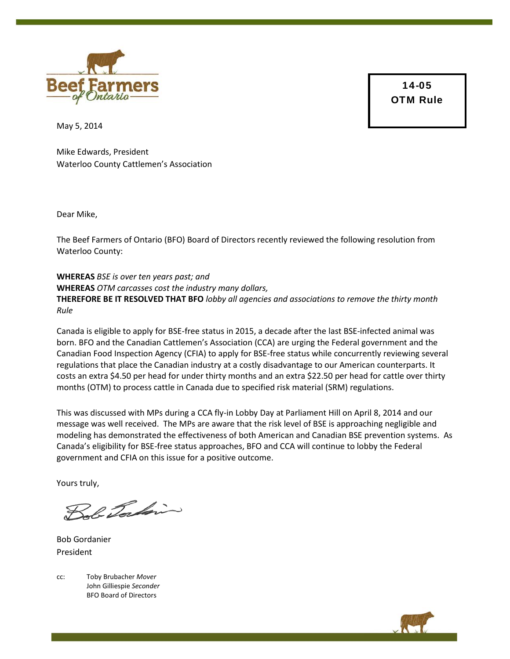

14-05 OTM Rule

May 5, 2014

Mike Edwards, President Waterloo County Cattlemen's Association

Dear Mike,

The Beef Farmers of Ontario (BFO) Board of Directors recently reviewed the following resolution from Waterloo County:

**WHEREAS** *BSE is over ten years past; and* **WHEREAS** *OTM carcasses cost the industry many dollars,*  **THEREFORE BE IT RESOLVED THAT BFO** *lobby all agencies and associations to remove the thirty month Rule*

Canada is eligible to apply for BSE-free status in 2015, a decade after the last BSE-infected animal was born. BFO and the Canadian Cattlemen's Association (CCA) are urging the Federal government and the Canadian Food Inspection Agency (CFIA) to apply for BSE-free status while concurrently reviewing several regulations that place the Canadian industry at a costly disadvantage to our American counterparts. It costs an extra \$4.50 per head for under thirty months and an extra \$22.50 per head for cattle over thirty months (OTM) to process cattle in Canada due to specified risk material (SRM) regulations.

This was discussed with MPs during a CCA fly-in Lobby Day at Parliament Hill on April 8, 2014 and our message was well received. The MPs are aware that the risk level of BSE is approaching negligible and modeling has demonstrated the effectiveness of both American and Canadian BSE prevention systems. As Canada's eligibility for BSE-free status approaches, BFO and CCA will continue to lobby the Federal government and CFIA on this issue for a positive outcome.

Yours truly,

Bob Torkin

Bob Gordanier President

cc: Toby Brubacher *Mover* John Gilliespie *Seconder*  BFO Board of Directors

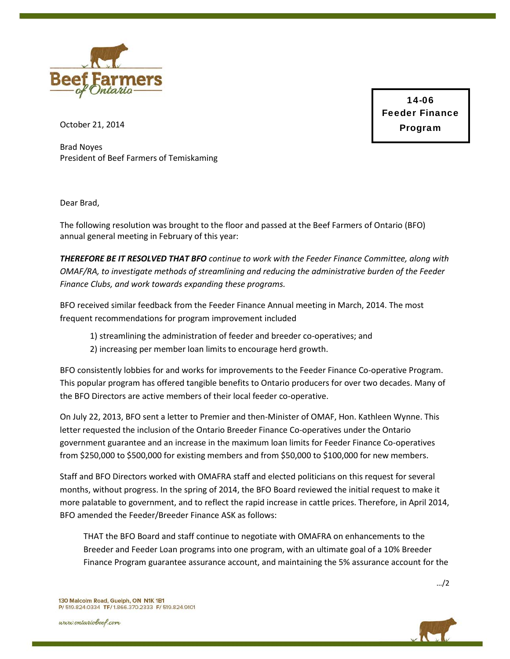

14-06 Feeder Finance Program

October 21, 2014

Brad Noyes President of Beef Farmers of Temiskaming

Dear Brad,

The following resolution was brought to the floor and passed at the Beef Farmers of Ontario (BFO) annual general meeting in February of this year:

*THEREFORE BE IT RESOLVED THAT BFO continue to work with the Feeder Finance Committee, along with OMAF/RA, to investigate methods of streamlining and reducing the administrative burden of the Feeder Finance Clubs, and work towards expanding these programs.* 

BFO received similar feedback from the Feeder Finance Annual meeting in March, 2014. The most frequent recommendations for program improvement included

- 1) streamlining the administration of feeder and breeder co-operatives; and
- 2) increasing per member loan limits to encourage herd growth.

BFO consistently lobbies for and works for improvements to the Feeder Finance Co-operative Program. This popular program has offered tangible benefits to Ontario producers for over two decades. Many of the BFO Directors are active members of their local feeder co-operative.

On July 22, 2013, BFO sent a letter to Premier and then-Minister of OMAF, Hon. Kathleen Wynne. This letter requested the inclusion of the Ontario Breeder Finance Co-operatives under the Ontario government guarantee and an increase in the maximum loan limits for Feeder Finance Co-operatives from \$250,000 to \$500,000 for existing members and from \$50,000 to \$100,000 for new members.

Staff and BFO Directors worked with OMAFRA staff and elected politicians on this request for several months, without progress. In the spring of 2014, the BFO Board reviewed the initial request to make it more palatable to government, and to reflect the rapid increase in cattle prices. Therefore, in April 2014, BFO amended the Feeder/Breeder Finance ASK as follows:

THAT the BFO Board and staff continue to negotiate with OMAFRA on enhancements to the Breeder and Feeder Loan programs into one program, with an ultimate goal of a 10% Breeder Finance Program guarantee assurance account, and maintaining the 5% assurance account for the

www.ontariobeef.com



…/2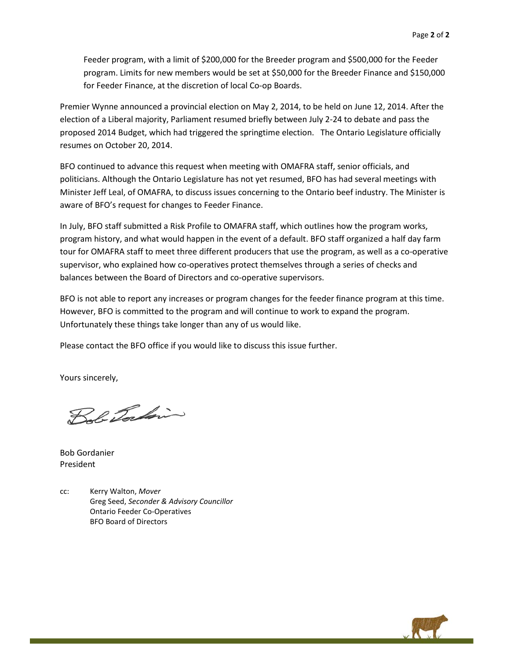Feeder program, with a limit of \$200,000 for the Breeder program and \$500,000 for the Feeder program. Limits for new members would be set at \$50,000 for the Breeder Finance and \$150,000 for Feeder Finance, at the discretion of local Co-op Boards.

Premier Wynne announced a provincial election on May 2, 2014, to be held on June 12, 2014. After the election of a Liberal majority, Parliament resumed briefly between July 2-24 to debate and pass the proposed 2014 Budget, which had triggered the springtime election. The Ontario Legislature officially resumes on October 20, 2014.

BFO continued to advance this request when meeting with OMAFRA staff, senior officials, and politicians. Although the Ontario Legislature has not yet resumed, BFO has had several meetings with Minister Jeff Leal, of OMAFRA, to discuss issues concerning to the Ontario beef industry. The Minister is aware of BFO's request for changes to Feeder Finance.

In July, BFO staff submitted a Risk Profile to OMAFRA staff, which outlines how the program works, program history, and what would happen in the event of a default. BFO staff organized a half day farm tour for OMAFRA staff to meet three different producers that use the program, as well as a co-operative supervisor, who explained how co-operatives protect themselves through a series of checks and balances between the Board of Directors and co-operative supervisors.

BFO is not able to report any increases or program changes for the feeder finance program at this time. However, BFO is committed to the program and will continue to work to expand the program. Unfortunately these things take longer than any of us would like.

Please contact the BFO office if you would like to discuss this issue further.

Yours sincerely,

Bob Tockin

Bob Gordanier President

cc: Kerry Walton, *Mover*  Greg Seed, *Seconder & Advisory Councillor*  Ontario Feeder Co-Operatives BFO Board of Directors

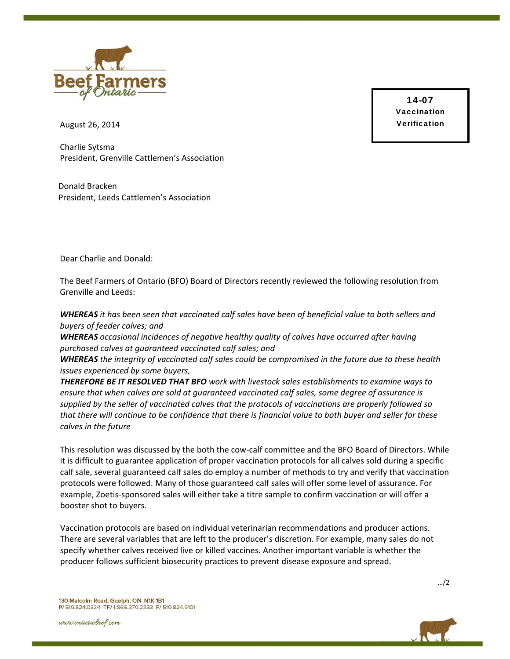

14-07 **Vaccination** Verification

August 26, 2014

Charlie Sytsma President, Grenville Cattlemen's Association

Donald Bracken President, Leeds Cattlemen's Association

Dear Charlie and Donald:

The Beef Farmers of Ontario (BFO) Board of Directors recently reviewed the following resolution from Grenville and Leeds:

WHEREAS it has been seen that vaccinated calf sales have been of beneficial value to both sellers and *buyers of feeder calves; and* 

*WHEREAS occasional incidences of negative healthy quality of calves have occurred after having purchased calves at guaranteed vaccinated calf sales; and* 

*WHEREAS the integrity of vaccinated calf sales could be compromised in the future due to these health issues experienced by some buyers,* 

*THEREFORE BE IT RESOLVED THAT BFO work with livestock sales establishments to examine ways to ensure that when calves are sold at guaranteed vaccinated calf sales, some degree of assurance is supplied by the seller of vaccinated calves that the protocols of vaccinations are properly followed so* that there will continue to be confidence that there is financial value to both buyer and seller for these *calves in the future*

This resolution was discussed by the both the cow‐calf committee and the BFO Board of Directors. While it is difficult to guarantee application of proper vaccination protocols for all calves sold during a specific calf sale, several guaranteed calf sales do employ a number of methods to try and verify that vaccination protocols were followed. Many of those guaranteed calf sales will offer some level of assurance. For example, Zoetis‐sponsored sales will either take a titre sample to confirm vaccination or will offer a booster shot to buyers.

Vaccination protocols are based on individual veterinarian recommendations and producer actions. There are several variables that are left to the producer's discretion. For example, many sales do not specify whether calves received live or killed vaccines. Another important variable is whether the producer follows sufficient biosecurity practices to prevent disease exposure and spread.

130 Malcolm Road, Guelph, ON N1K 1B1 P/ 519.824.0334 TF/ 1.866.370.2333 F/ 519.824.9101

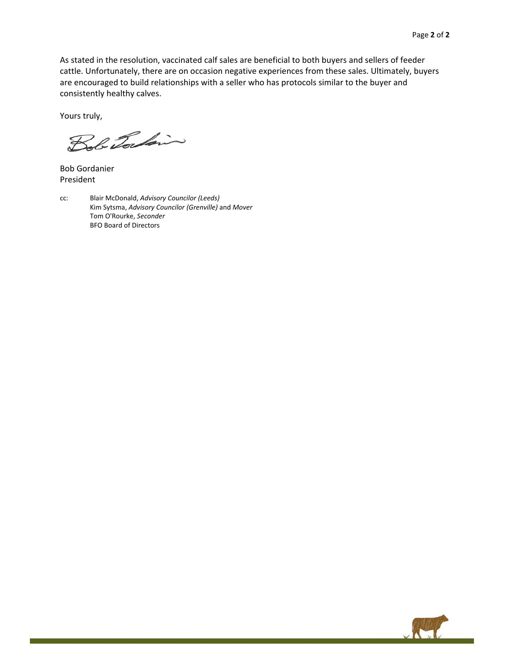As stated in the resolution, vaccinated calf sales are beneficial to both buyers and sellers of feeder cattle. Unfortunately, there are on occasion negative experiences from these sales. Ultimately, buyers are encouraged to build relationships with a seller who has protocols similar to the buyer and consistently healthy calves.

Yours truly,

Bob Torkin

Bob Gordanier President

cc: Blair McDonald, *Advisory Councilor (Leeds)* Kim Sytsma, *Advisory Councilor (Grenville)* and *Mover* Tom O'Rourke, *Seconder* BFO Board of Directors

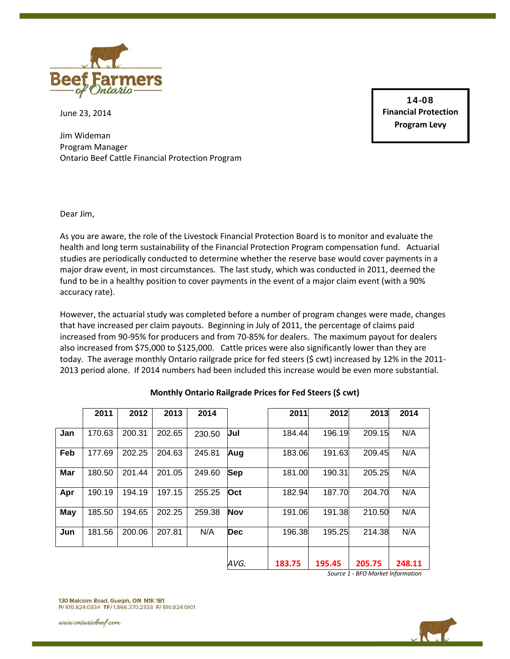

June 23, 2014

Jim Wideman Program Manager Ontario Beef Cattle Financial Protection Program

14-08 **Financial Protection Program Levy**

Dear Jim,

As you are aware, the role of the Livestock Financial Protection Board is to monitor and evaluate the health and long term sustainability of the Financial Protection Program compensation fund. Actuarial studies are periodically conducted to determine whether the reserve base would cover payments in a major draw event, in most circumstances. The last study, which was conducted in 2011, deemed the fund to be in a healthy position to cover payments in the event of a major claim event (with a 90% accuracy rate).

However, the actuarial study was completed before a number of program changes were made, changes that have increased per claim payouts. Beginning in July of 2011, the percentage of claims paid increased from 90-95% for producers and from 70-85% for dealers. The maximum payout for dealers also increased from \$75,000 to \$125,000. Cattle prices were also significantly lower than they are today. The average monthly Ontario railgrade price for fed steers (\$ cwt) increased by 12% in the 2011- 2013 period alone. If 2014 numbers had been included this increase would be even more substantial.

|     | 2011   | 2012   | 2013   | 2014   |            | 2011   | 2012   | 2013   | 2014   |
|-----|--------|--------|--------|--------|------------|--------|--------|--------|--------|
| Jan | 170.63 | 200.31 | 202.65 | 230.50 | Jul        | 184.44 | 196.19 | 209.15 | N/A    |
| Feb | 177.69 | 202.25 | 204.63 | 245.81 | Aug        | 183.06 | 191.63 | 209.45 | N/A    |
| Mar | 180.50 | 201.44 | 201.05 | 249.60 | <b>Sep</b> | 181.00 | 190.31 | 205.25 | N/A    |
| Apr | 190.19 | 194.19 | 197.15 | 255.25 | Oct        | 182.94 | 187.70 | 204.70 | N/A    |
| May | 185.50 | 194.65 | 202.25 | 259.38 | <b>Nov</b> | 191.06 | 191.38 | 210.50 | N/A    |
| Jun | 181.56 | 200.06 | 207.81 | N/A    | <b>Dec</b> | 196.38 | 195.25 | 214.38 | N/A    |
|     |        |        |        |        |            |        |        |        |        |
|     |        |        |        |        | AVG.       | 183.75 | 195.45 | 205.75 | 248.11 |

**Monthly Ontario Railgrade Prices for Fed Steers (\$ cwt)**

*Source 1 - BFO Market Information*

130 Malcolm Road, Guelph, ON N1K 1B1 P/ 519.824.0334 TF/ 1.866.370.2333 F/ 519.824.9101

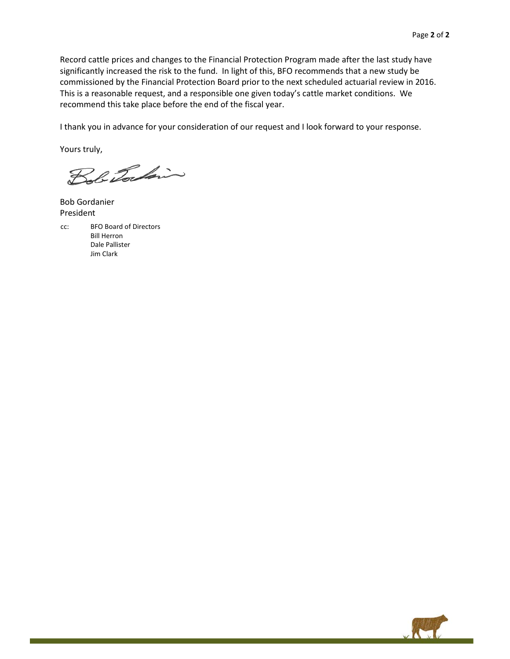Record cattle prices and changes to the Financial Protection Program made after the last study have significantly increased the risk to the fund. In light of this, BFO recommends that a new study be commissioned by the Financial Protection Board prior to the next scheduled actuarial review in 2016. This is a reasonable request, and a responsible one given today's cattle market conditions. We recommend this take place before the end of the fiscal year.

I thank you in advance for your consideration of our request and I look forward to your response.

Yours truly,

Bob Tocking

Bob Gordanier President

cc: BFO Board of Directors Bill Herron Dale Pallister Jim Clark

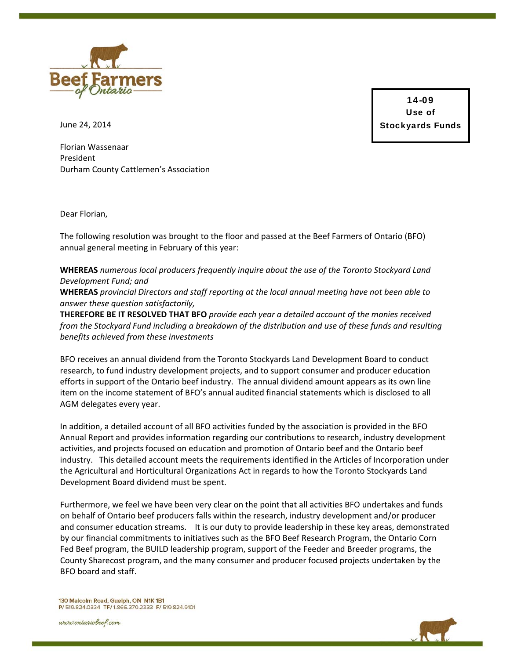

14-09 Use of Stockyards Funds

June 24, 2014

Florian Wassenaar President Durham County Cattlemen's Association

Dear Florian,

The following resolution was brought to the floor and passed at the Beef Farmers of Ontario (BFO) annual general meeting in February of this year:

## **WHEREAS** *numerous local producers frequently inquire about the use of the Toronto Stockyard Land Development Fund; and*

**WHEREAS** *provincial Directors and staff reporting at the local annual meeting have not been able to answer these question satisfactorily,*

**THEREFORE BE IT RESOLVED THAT BFO** *provide each year a detailed account of the monies received from the Stockyard Fund including a breakdown of the distribution and use of these funds and resulting benefits achieved from these investments*

BFO receives an annual dividend from the Toronto Stockyards Land Development Board to conduct research, to fund industry development projects, and to support consumer and producer education efforts in support of the Ontario beef industry. The annual dividend amount appears as its own line item on the income statement of BFO's annual audited financial statements which is disclosed to all AGM delegates every year.

In addition, a detailed account of all BFO activities funded by the association is provided in the BFO Annual Report and provides information regarding our contributions to research, industry development activities, and projects focused on education and promotion of Ontario beef and the Ontario beef industry. This detailed account meets the requirements identified in the Articles of Incorporation under the Agricultural and Horticultural Organizations Act in regards to how the Toronto Stockyards Land Development Board dividend must be spent.

Furthermore, we feel we have been very clear on the point that all activities BFO undertakes and funds on behalf of Ontario beef producers falls within the research, industry development and/or producer and consumer education streams. It is our duty to provide leadership in these key areas, demonstrated by our financial commitments to initiatives such as the BFO Beef Research Program, the Ontario Corn Fed Beef program, the BUILD leadership program, support of the Feeder and Breeder programs, the County Sharecost program, and the many consumer and producer focused projects undertaken by the BFO board and staff.

130 Malcolm Road, Guelph, ON N1K 1B1 P/ 519.824.0334 TF/ 1.866.370.2333 F/ 519.824.9101

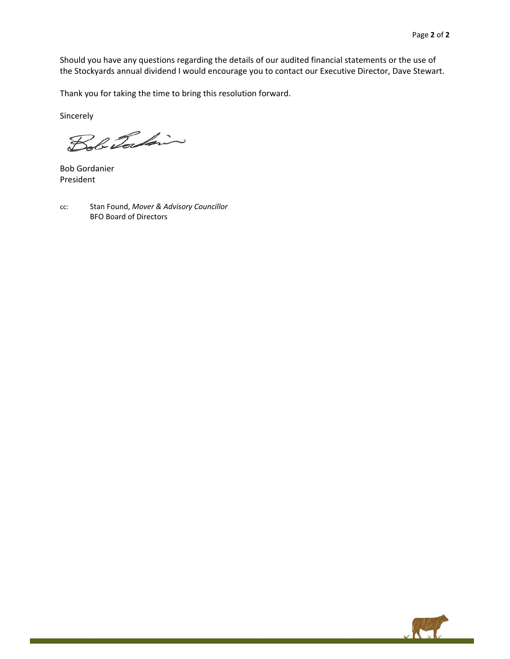Should you have any questions regarding the details of our audited financial statements or the use of the Stockyards annual dividend I would encourage you to contact our Executive Director, Dave Stewart.

Thank you for taking the time to bring this resolution forward.

Sincerely

Bob Torkin

Bob Gordanier President

cc: Stan Found, *Mover & Advisory Councillor* BFO Board of Directors

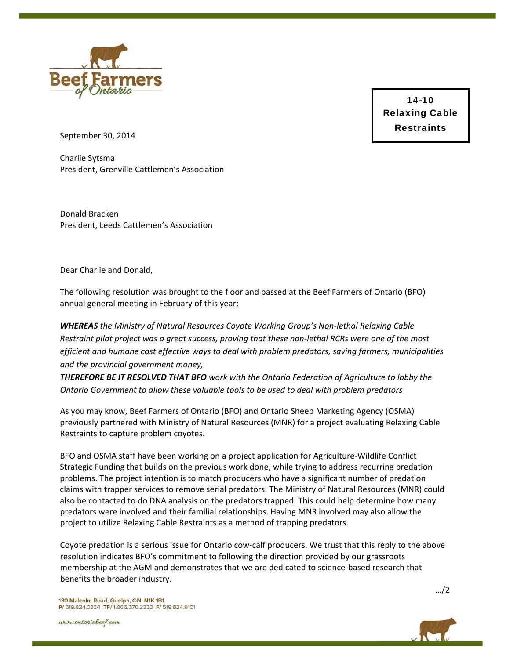

14-10 Relaxing Cable **Restraints** 

September 30, 2014

Charlie Sytsma President, Grenville Cattlemen's Association

Donald Bracken President, Leeds Cattlemen's Association

Dear Charlie and Donald,

The following resolution was brought to the floor and passed at the Beef Farmers of Ontario (BFO) annual general meeting in February of this year:

*WHEREAS the Ministry of Natural Resources Coyote Working Group's Non‐lethal Relaxing Cable* Restraint pilot project was a great success, proving that these non-lethal RCRs were one of the most *efficient and humane cost effective ways to deal with problem predators, saving farmers, municipalities and the provincial government money,*

*THEREFORE BE IT RESOLVED THAT BFO work with the Ontario Federation of Agriculture to lobby the Ontario Government to allow these valuable tools to be used to deal with problem predators*

As you may know, Beef Farmers of Ontario (BFO) and Ontario Sheep Marketing Agency (OSMA) previously partnered with Ministry of Natural Resources (MNR) for a project evaluating Relaxing Cable Restraints to capture problem coyotes.

BFO and OSMA staff have been working on a project application for Agriculture‐Wildlife Conflict Strategic Funding that builds on the previous work done, while trying to address recurring predation problems. The project intention is to match producers who have a significant number of predation claims with trapper services to remove serial predators. The Ministry of Natural Resources (MNR) could also be contacted to do DNA analysis on the predators trapped. This could help determine how many predators were involved and their familial relationships. Having MNR involved may also allow the project to utilize Relaxing Cable Restraints as a method of trapping predators.

Coyote predation is a serious issue for Ontario cow-calf producers. We trust that this reply to the above resolution indicates BFO's commitment to following the direction provided by our grassroots membership at the AGM and demonstrates that we are dedicated to science-based research that benefits the broader industry.

…/2

130 Malcolm Road, Guelph, ON N1K 1B1 P/ 519.824.0334 TF/ 1.866.370.2333 F/ 519.824.9101

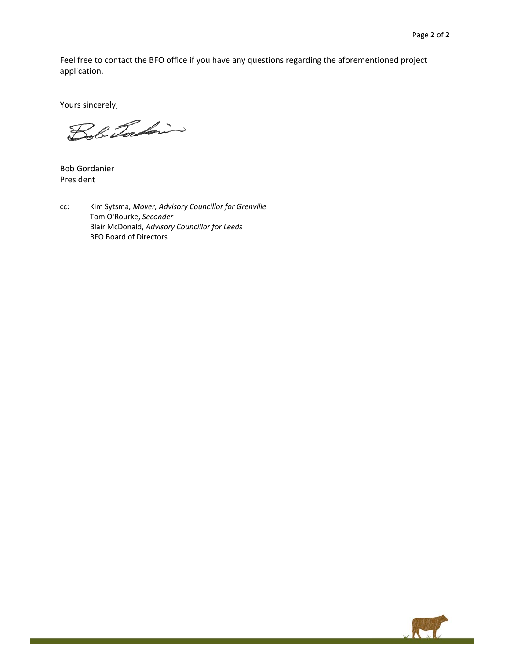Feel free to contact the BFO office if you have any questions regarding the aforementioned project application.

Yours sincerely,

Bob Torkin

Bob Gordanier President

cc: Kim Sytsma*, Mover, Advisory Councillor for Grenville* Tom O'Rourke, *Seconder* Blair McDonald, *Advisory Councillor for Leeds* BFO Board of Directors

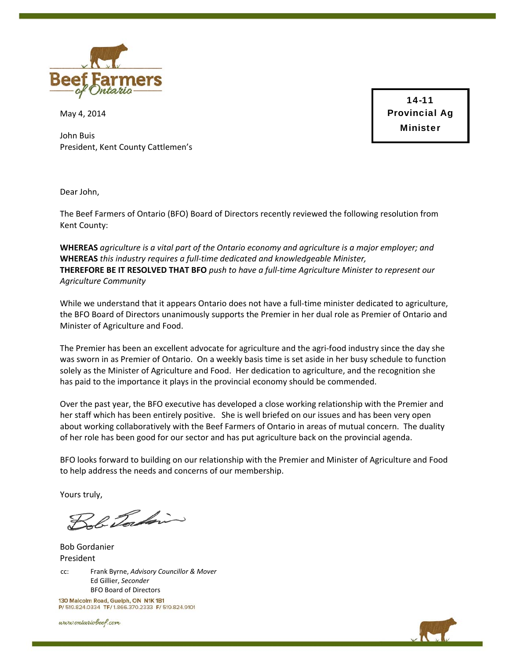

May 4, 2014

John Buis President, Kent County Cattlemen's

14-11 Provincial Ag Minister

Dear John,

The Beef Farmers of Ontario (BFO) Board of Directors recently reviewed the following resolution from Kent County:

**WHEREAS** *agriculture is a vital part of the Ontario economy and agriculture is a major employer; and* **WHEREAS** *this industry requires a full‐time dedicated and knowledgeable Minister,* **THEREFORE BE IT RESOLVED THAT BFO** *push to have a full‐time Agriculture Minister to represent our Agriculture Community*

While we understand that it appears Ontario does not have a full-time minister dedicated to agriculture, the BFO Board of Directors unanimously supports the Premier in her dual role as Premier of Ontario and Minister of Agriculture and Food.

The Premier has been an excellent advocate for agriculture and the agri-food industry since the day she was sworn in as Premier of Ontario. On a weekly basis time is set aside in her busy schedule to function solely as the Minister of Agriculture and Food. Her dedication to agriculture, and the recognition she has paid to the importance it plays in the provincial economy should be commended.

Over the past year, the BFO executive has developed a close working relationship with the Premier and her staff which has been entirely positive. She is well briefed on our issues and has been very open about working collaboratively with the Beef Farmers of Ontario in areas of mutual concern. The duality of her role has been good for our sector and has put agriculture back on the provincial agenda.

BFO looks forward to building on our relationship with the Premier and Minister of Agriculture and Food to help address the needs and concerns of our membership.

Yours truly,

Bob Tocking

Bob Gordanier President

cc: Frank Byrne, *Advisory Councillor & Mover* Ed Gillier, *Seconder* BFO Board of Directors

130 Malcolm Road, Guelph, ON N1K 1B1 P/ 519.824.0334 TF/ 1.866.370.2333 F/ 519.824.9101

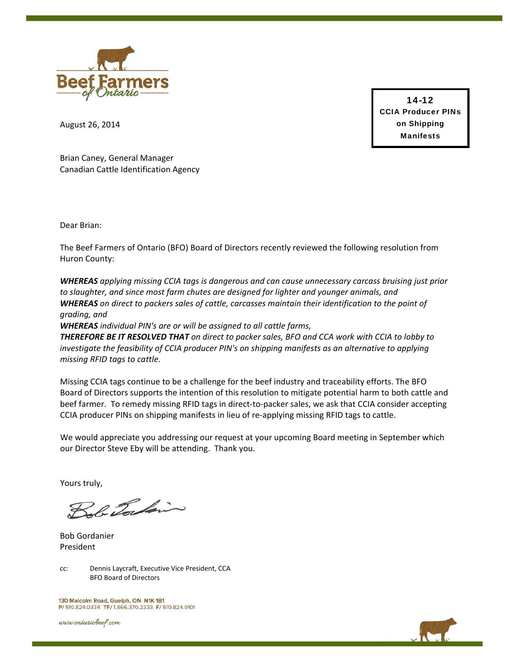

14-12 CCIA Producer PINs on Shipping Manifests

August 26, 2014

Brian Caney, General Manager Canadian Cattle Identification Agency

Dear Brian:

The Beef Farmers of Ontario (BFO) Board of Directors recently reviewed the following resolution from Huron County:

*WHEREAS applying missing CCIA tags is dangerous and can cause unnecessary carcass bruising just prior to slaughter, and since most farm chutes are designed for lighter and younger animals, and WHEREAS on direct to packers sales of cattle, carcasses maintain their identification to the point of grading, and*

*WHEREAS individual PIN's are or will be assigned to all cattle farms,* 

THEREFORE BE IT RESOLVED THAT on direct to packer sales, BFO and CCA work with CCIA to lobby to *investigate the feasibility of CCIA producer PIN's on shipping manifests as an alternative to applying missing RFID tags to cattle.* 

Missing CCIA tags continue to be a challenge for the beef industry and traceability efforts. The BFO Board of Directors supports the intention of this resolution to mitigate potential harm to both cattle and beef farmer. To remedy missing RFID tags in direct-to-packer sales, we ask that CCIA consider accepting CCIA producer PINs on shipping manifests in lieu of re‐applying missing RFID tags to cattle.

We would appreciate you addressing our request at your upcoming Board meeting in September which our Director Steve Eby will be attending. Thank you.

Yours truly,

be Tordain

Bob Gordanier President



130 Malcolm Road, Guelph, ON N1K 1B1 P/ 519.824.0334 TF/ 1.866.370.2333 F/ 519.824.9101

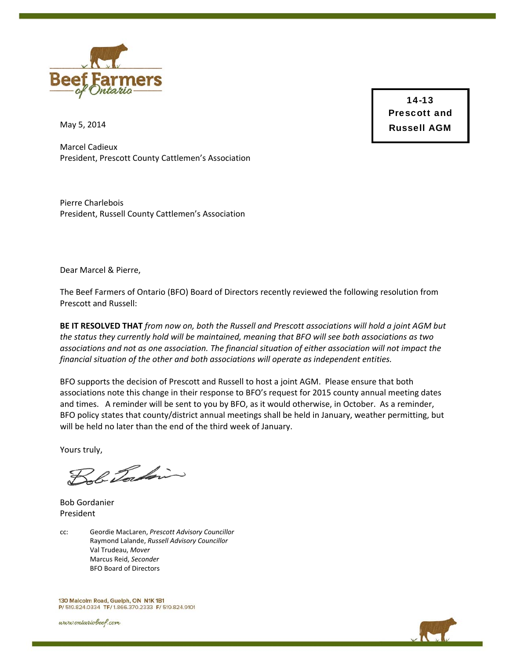

14-13 Prescott and Russell AGM

May 5, 2014

Marcel Cadieux President, Prescott County Cattlemen's Association

Pierre Charlebois President, Russell County Cattlemen's Association

Dear Marcel & Pierre,

The Beef Farmers of Ontario (BFO) Board of Directors recently reviewed the following resolution from Prescott and Russell:

BE IT RESOLVED THAT from now on, both the Russell and Prescott associations will hold a joint AGM but *the status they currently hold will be maintained, meaning that BFO will see both associations as two associations and not as one association. The financial situation of either association will not impact the financial situation of the other and both associations will operate as independent entities.*

BFO supports the decision of Prescott and Russell to host a joint AGM. Please ensure that both associations note this change in their response to BFO's request for 2015 county annual meeting dates and times. A reminder will be sent to you by BFO, as it would otherwise, in October. As a reminder, BFO policy states that county/district annual meetings shall be held in January, weather permitting, but will be held no later than the end of the third week of January.

Yours truly,

Bob Tochin

Bob Gordanier President

cc: Geordie MacLaren, *Prescott Advisory Councillor* Raymond Lalande, *Russell Advisory Councillor* Val Trudeau, *Mover* Marcus Reid, *Seconder* BFO Board of Directors

130 Malcolm Road, Guelph, ON N1K 1B1 P/ 519.824.0334 TF/ 1.866.370.2333 F/ 519.824.9101

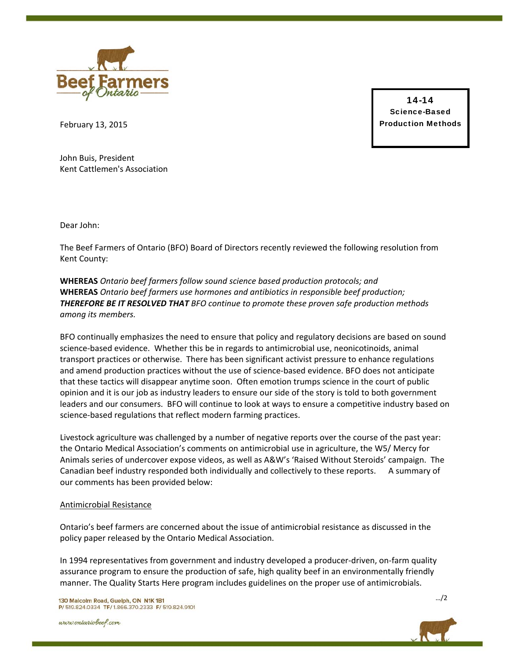

14-14 Science-Based Production Methods

February 13, 2015

John Buis, President Kent Cattlemen's Association

Dear John:

The Beef Farmers of Ontario (BFO) Board of Directors recently reviewed the following resolution from Kent County:

**WHEREAS** *Ontario beef farmers follow sound science based production protocols; and* **WHEREAS** *Ontario beef farmers use hormones and antibiotics in responsible beef production; THEREFORE BE IT RESOLVED THAT BFO continue to promote these proven safe production methods among its members.*

BFO continually emphasizes the need to ensure that policy and regulatory decisions are based on sound science‐based evidence. Whether this be in regards to antimicrobial use, neonicotinoids, animal transport practices or otherwise. There has been significant activist pressure to enhance regulations and amend production practices without the use of science‐based evidence. BFO does not anticipate that these tactics will disappear anytime soon. Often emotion trumps science in the court of public opinion and it is our job as industry leaders to ensure our side of the story is told to both government leaders and our consumers. BFO will continue to look at ways to ensure a competitive industry based on science‐based regulations that reflect modern farming practices.

Livestock agriculture was challenged by a number of negative reports over the course of the past year: the Ontario Medical Association's comments on antimicrobial use in agriculture, the W5/ Mercy for Animals series of undercover expose videos, as well as A&W's 'Raised Without Steroids' campaign. The Canadian beef industry responded both individually and collectively to these reports. A summary of our comments has been provided below:

### Antimicrobial Resistance

Ontario's beef farmers are concerned about the issue of antimicrobial resistance as discussed in the policy paper released by the Ontario Medical Association.

In 1994 representatives from government and industry developed a producer‐driven, on‐farm quality assurance program to ensure the production of safe, high quality beef in an environmentally friendly manner. The Quality Starts Here program includes guidelines on the proper use of antimicrobials.

130 Malcolm Road, Guelph, ON N1K 1B1 P/ 519.824.0334 TF/ 1.866.370.2333 F/ 519.824.9101

www.ontariobeef.com



…/2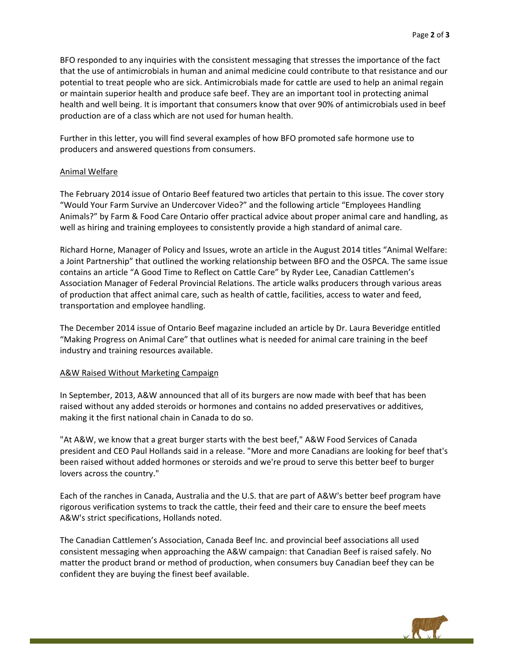BFO responded to any inquiries with the consistent messaging that stresses the importance of the fact that the use of antimicrobials in human and animal medicine could contribute to that resistance and our potential to treat people who are sick. Antimicrobials made for cattle are used to help an animal regain or maintain superior health and produce safe beef. They are an important tool in protecting animal health and well being. It is important that consumers know that over 90% of antimicrobials used in beef production are of a class which are not used for human health.

Further in this letter, you will find several examples of how BFO promoted safe hormone use to producers and answered questions from consumers.

### Animal Welfare

The February 2014 issue of Ontario Beef featured two articles that pertain to this issue. The cover story "Would Your Farm Survive an Undercover Video?" and the following article "Employees Handling Animals?" by Farm & Food Care Ontario offer practical advice about proper animal care and handling, as well as hiring and training employees to consistently provide a high standard of animal care.

Richard Horne, Manager of Policy and Issues, wrote an article in the August 2014 titles "Animal Welfare: a Joint Partnership" that outlined the working relationship between BFO and the OSPCA. The same issue contains an article "A Good Time to Reflect on Cattle Care" by Ryder Lee, Canadian Cattlemen's Association Manager of Federal Provincial Relations. The article walks producers through various areas of production that affect animal care, such as health of cattle, facilities, access to water and feed, transportation and employee handling.

The December 2014 issue of Ontario Beef magazine included an article by Dr. Laura Beveridge entitled "Making Progress on Animal Care" that outlines what is needed for animal care training in the beef industry and training resources available.

#### A&W Raised Without Marketing Campaign

In September, 2013, A&W announced that all of its burgers are now made with beef that has been raised without any added steroids or hormones and contains no added preservatives or additives, making it the first national chain in Canada to do so.

"At A&W, we know that a great burger starts with the best beef," A&W Food Services of Canada president and CEO Paul Hollands said in a release. "More and more Canadians are looking for beef that's been raised without added hormones or steroids and we're proud to serve this better beef to burger lovers across the country."

Each of the ranches in Canada, Australia and the U.S. that are part of A&W's better beef program have rigorous verification systems to track the cattle, their feed and their care to ensure the beef meets A&W's strict specifications, Hollands noted.

The Canadian Cattlemen's Association, Canada Beef Inc. and provincial beef associations all used consistent messaging when approaching the A&W campaign: that Canadian Beef is raised safely. No matter the product brand or method of production, when consumers buy Canadian beef they can be confident they are buying the finest beef available.

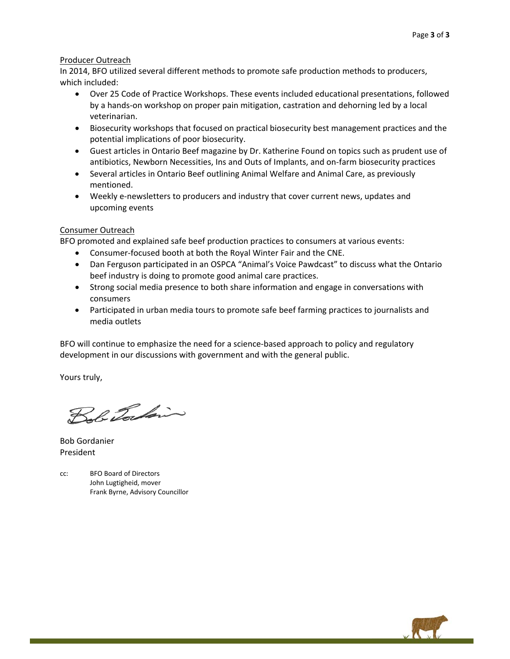### Producer Outreach

In 2014, BFO utilized several different methods to promote safe production methods to producers, which included:

- Over 25 Code of Practice Workshops. These events included educational presentations, followed by a hands‐on workshop on proper pain mitigation, castration and dehorning led by a local veterinarian.
- Biosecurity workshops that focused on practical biosecurity best management practices and the potential implications of poor biosecurity.
- Guest articles in Ontario Beef magazine by Dr. Katherine Found on topics such as prudent use of antibiotics, Newborn Necessities, Ins and Outs of Implants, and on‐farm biosecurity practices
- Several articles in Ontario Beef outlining Animal Welfare and Animal Care, as previously mentioned.
- Weekly e‐newsletters to producers and industry that cover current news, updates and upcoming events

#### Consumer Outreach

BFO promoted and explained safe beef production practices to consumers at various events:

- Consumer-focused booth at both the Royal Winter Fair and the CNE.
- Dan Ferguson participated in an OSPCA "Animal's Voice Pawdcast" to discuss what the Ontario beef industry is doing to promote good animal care practices.
- Strong social media presence to both share information and engage in conversations with consumers
- Participated in urban media tours to promote safe beef farming practices to journalists and media outlets

BFO will continue to emphasize the need for a science-based approach to policy and regulatory development in our discussions with government and with the general public.

Yours truly,

Bob Tocking

Bob Gordanier President

cc: BFO Board of Directors John Lugtigheid, mover Frank Byrne, Advisory Councillor

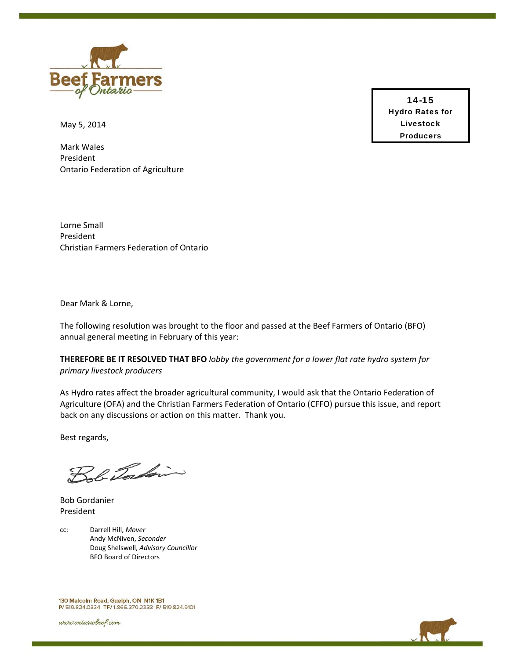

May 5, 2014

Mark Wales President Ontario Federation of Agriculture

Lorne Small President Christian Farmers Federation of Ontario

Dear Mark & Lorne,

The following resolution was brought to the floor and passed at the Beef Farmers of Ontario (BFO) annual general meeting in February of this year:

**THEREFORE BE IT RESOLVED THAT BFO** *lobby the government for a lower flat rate hydro system for primary livestock producers*

As Hydro rates affect the broader agricultural community, I would ask that the Ontario Federation of Agriculture (OFA) and the Christian Farmers Federation of Ontario (CFFO) pursue this issue, and report back on any discussions or action on this matter. Thank you.

Best regards,

Bob Torkin

Bob Gordanier President

cc: Darrell Hill, *Mover* Andy McNiven, *Seconder*  Doug Shelswell, *Advisory Councillor* BFO Board of Directors

130 Malcolm Road, Guelph, ON N1K 1B1 P/ 519.824.0334 TF/ 1.866.370.2333 F/ 519.824.9101

www.ontariobeef.com

14-15 Hydro Rates for Livestock Producers

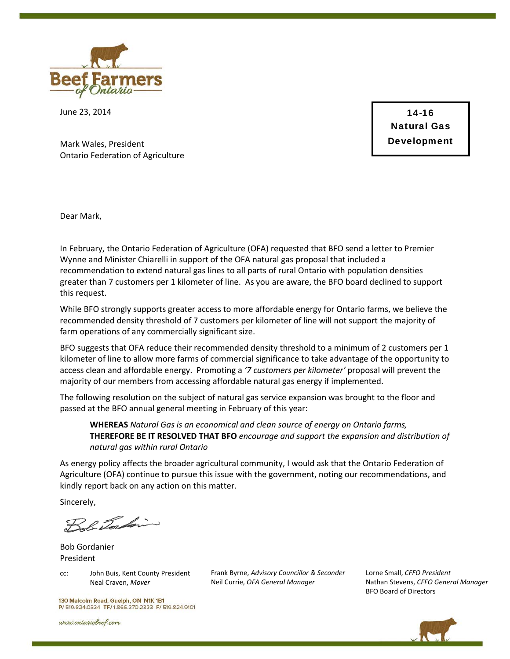

June 23, 2014

14-16 Natural Gas Development

Mark Wales, President Ontario Federation of Agriculture

Dear Mark,

In February, the Ontario Federation of Agriculture (OFA) requested that BFO send a letter to Premier Wynne and Minister Chiarelli in support of the OFA natural gas proposal that included a recommendation to extend natural gas lines to all parts of rural Ontario with population densities greater than 7 customers per 1 kilometer of line. As you are aware, the BFO board declined to support this request.

While BFO strongly supports greater access to more affordable energy for Ontario farms, we believe the recommended density threshold of 7 customers per kilometer of line will not support the majority of farm operations of any commercially significant size.

BFO suggests that OFA reduce their recommended density threshold to a minimum of 2 customers per 1 kilometer of line to allow more farms of commercial significance to take advantage of the opportunity to access clean and affordable energy. Promoting a *'7 customers per kilometer'* proposal will prevent the majority of our members from accessing affordable natural gas energy if implemented.

The following resolution on the subject of natural gas service expansion was brought to the floor and passed at the BFO annual general meeting in February of this year:

**WHEREAS** *Natural Gas is an economical and clean source of energy on Ontario farms,*  **THEREFORE BE IT RESOLVED THAT BFO** *encourage and support the expansion and distribution of natural gas within rural Ontario*

As energy policy affects the broader agricultural community, I would ask that the Ontario Federation of Agriculture (OFA) continue to pursue this issue with the government, noting our recommendations, and kindly report back on any action on this matter.

Sincerely,

Bob Torkin

Bob Gordanier President

cc: John Buis, Kent County President Neal Craven, *Mover* 

Frank Byrne, *Advisory Councillor & Seconder* Neil Currie, *OFA General Manager*

Lorne Small, *CFFO President* Nathan Stevens, *CFFO General Manager* BFO Board of Directors

130 Malcolm Road, Guelph, ON N1K 1B1 P/ 519.824.0334 TF/ 1.866.370.2333 F/ 519.824.9101

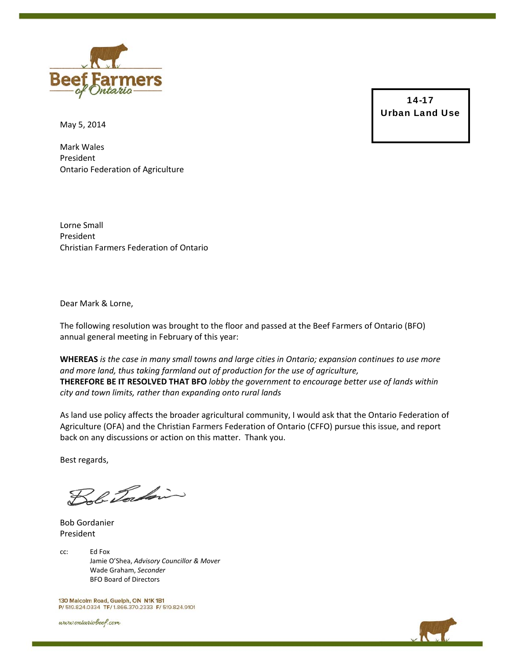

May 5, 2014

Mark Wales President Ontario Federation of Agriculture

Lorne Small President Christian Farmers Federation of Ontario

Dear Mark & Lorne,

The following resolution was brought to the floor and passed at the Beef Farmers of Ontario (BFO) annual general meeting in February of this year:

WHEREAS is the case in many small towns and large cities in Ontario; expansion continues to use more *and more land, thus taking farmland out of production for the use of agriculture,* **THEREFORE BE IT RESOLVED THAT BFO** *lobby the government to encourage better use of lands within city and town limits, rather than expanding onto rural lands*

As land use policy affects the broader agricultural community, I would ask that the Ontario Federation of Agriculture (OFA) and the Christian Farmers Federation of Ontario (CFFO) pursue this issue, and report back on any discussions or action on this matter. Thank you.

Best regards,

Tobe Tocking

Bob Gordanier President

cc: Ed Fox Jamie O'Shea, *Advisory Councillor & Mover*  Wade Graham, *Seconder* BFO Board of Directors

130 Malcolm Road, Guelph, ON N1K 1B1 P/ 519.824.0334 TF/ 1.866.370.2333 F/ 519.824.9101

www.ontariobeef.com

14-17 Urban Land Use